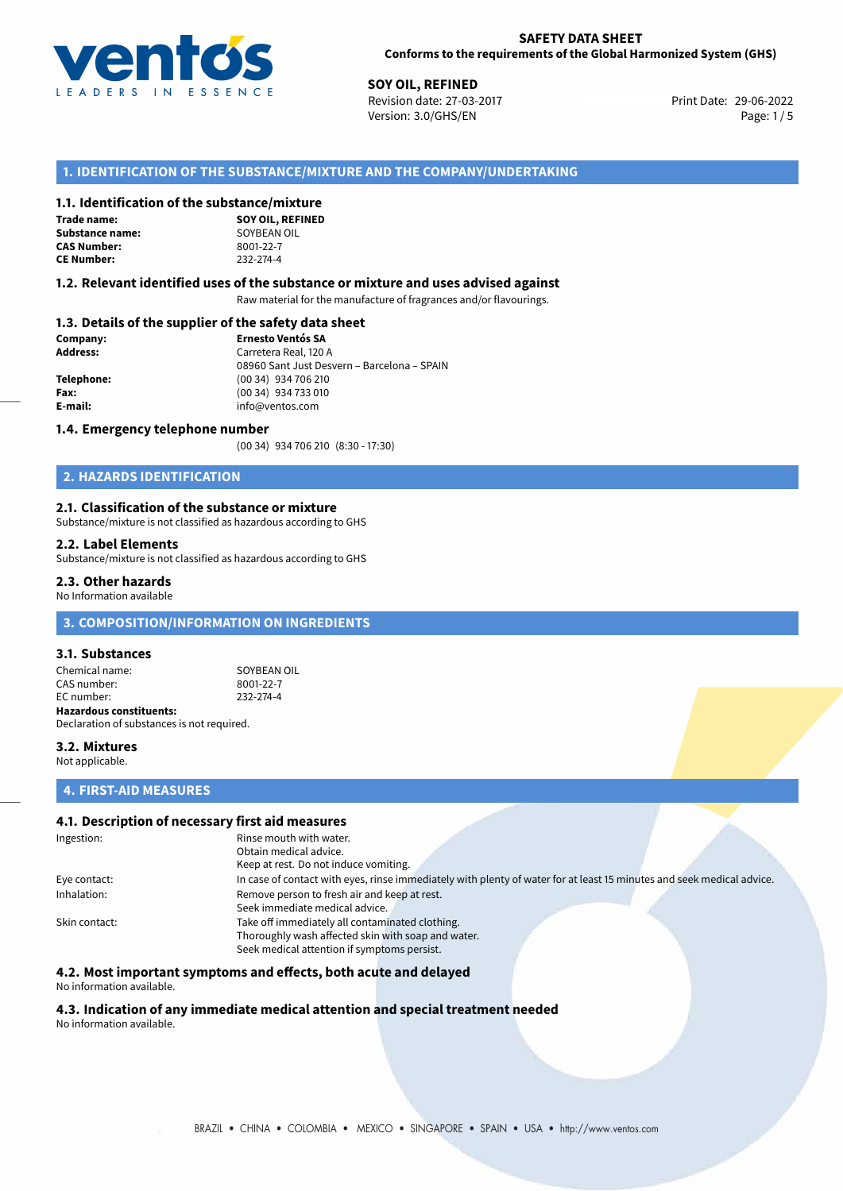

**299 OIL, REFINED**<br>29-06-2022 **Revision date: 27-03-2017** Print Date: 29-06-2022 Version: 3.0/GHS/EN Page: 1/5

# **1. IDENTIFICATION OF THE SUBSTANCE/MIXTURE AND THE COMPANY/UNDERTAKING**

## **1.1. Identification of the substance/mixture**

**Trade name: Substance name:** SOYBEAN OIL<br> **CAS Number:** 8001-22-7 **CAS Number: CE Number:** 232-274-4

**SOY OIL, REFINED**

### **1.2. Relevant identified uses of the substance or mixture and uses advised against**

Raw material for the manufacture of fragrances and/or flavourings.

# **1.3. Details of the supplier of the safety data sheet**

| Company:        | <b>Ernesto Ventós SA</b>                    |  |
|-----------------|---------------------------------------------|--|
| <b>Address:</b> | Carretera Real, 120 A                       |  |
|                 | 08960 Sant Just Desvern - Barcelona - SPAIN |  |
| Telephone:      | (00 34) 934 706 210                         |  |
| Fax:            | (00 34) 934 733 010                         |  |
| E-mail:         | info@ventos.com                             |  |
|                 |                                             |  |

### **1.4. Emergency telephone number**

(00 34) 934 706 210 (8:30 - 17:30)

# **2. HAZARDS IDENTIFICATION**

### **2.1. Classification of the substance or mixture**

Substance/mixture is not classified as hazardous according to GHS

### **2.2. Label Elements**

Substance/mixture is not classified as hazardous according to GHS

### **2.3. Other hazards**

No Information available

## **3. COMPOSITION/INFORMATION ON INGREDIENTS**

### **3.1. Substances**

Chemical name: SOYBEAN OIL<br>
CAS number: S001-22-7 CAS number: EC number: 232-274-4 **Hazardous constituents:** Declaration of substances is not required.

**3.2. Mixtures** Not applicable.

### **4. FIRST-AID MEASURES**

### **4.1. Description of necessary first aid measures**

| Ingestion:    | Rinse mouth with water.                                                                                               |  |  |
|---------------|-----------------------------------------------------------------------------------------------------------------------|--|--|
|               | Obtain medical advice.                                                                                                |  |  |
|               | Keep at rest. Do not induce vomiting.                                                                                 |  |  |
| Eye contact:  | In case of contact with eyes, rinse immediately with plenty of water for at least 15 minutes and seek medical advice. |  |  |
| Inhalation:   | Remove person to fresh air and keep at rest.                                                                          |  |  |
|               | Seek immediate medical advice.                                                                                        |  |  |
| Skin contact: | Take off immediately all contaminated clothing.                                                                       |  |  |
|               | Thoroughly wash affected skin with soap and water.                                                                    |  |  |
|               | Seek medical attention if symptoms persist.                                                                           |  |  |

# **4.2. Most important symptoms and effects, both acute and delayed**

No information available.

### **4.3. Indication of any immediate medical attention and special treatment needed** No information available.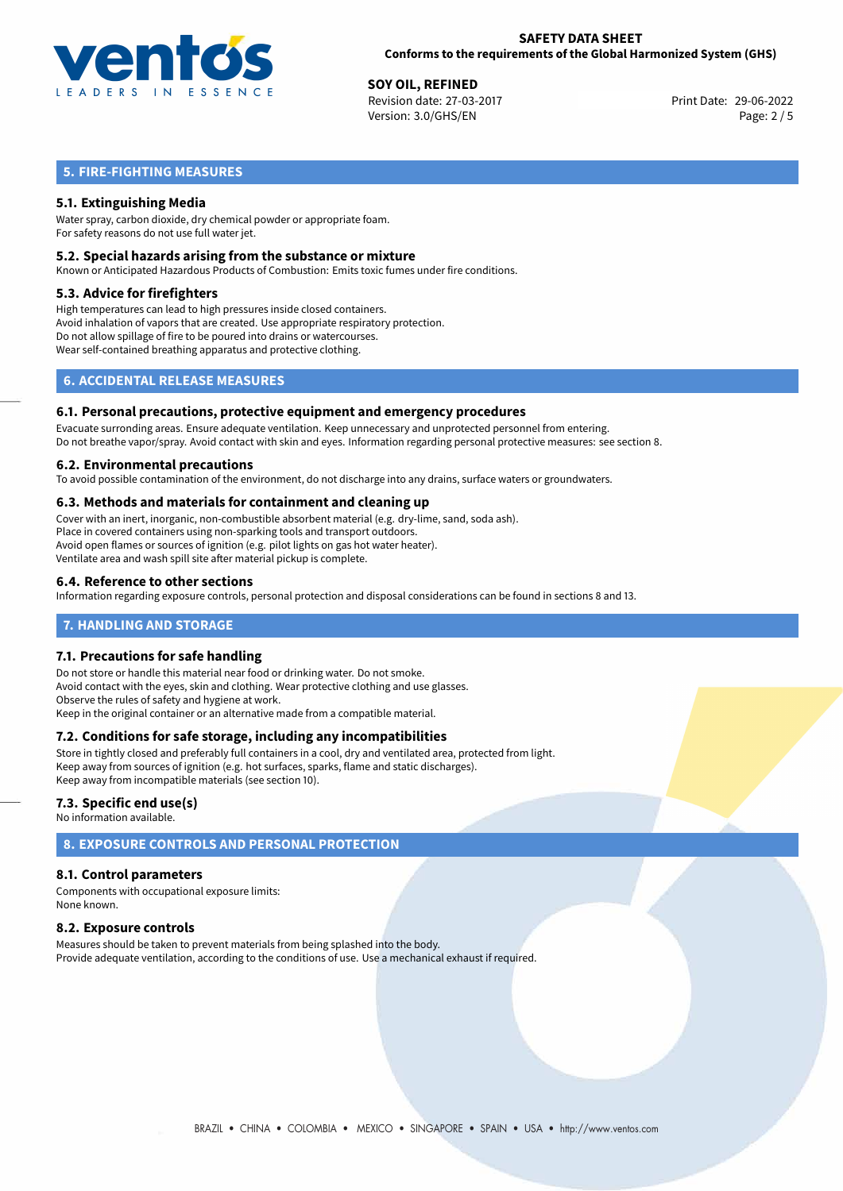

**29-2022 SOY OIL, REFINED**<br>
Revision date: 27-03-2017 **Print Date: 29-06-2022** Version: 3.0/GHS/EN Page: 2 / 5

# **5. FIRE-FIGHTING MEASURES**

# **5.1. Extinguishing Media**

Water spray, carbon dioxide, dry chemical powder or appropriate foam. For safety reasons do not use full water jet.

### **5.2. Special hazards arising from the substance or mixture**

Known or Anticipated Hazardous Products of Combustion: Emits toxic fumes under fire conditions.

### **5.3. Advice for firefighters**

High temperatures can lead to high pressures inside closed containers. Avoid inhalation of vapors that are created. Use appropriate respiratory protection. Do not allow spillage of fire to be poured into drains or watercourses. Wear self-contained breathing apparatus and protective clothing.

# **6. ACCIDENTAL RELEASE MEASURES**

### **6.1. Personal precautions, protective equipment and emergency procedures**

Evacuate surronding areas. Ensure adequate ventilation. Keep unnecessary and unprotected personnel from entering. Do not breathe vapor/spray. Avoid contact with skin and eyes. Information regarding personal protective measures: see section 8.

### **6.2. Environmental precautions**

To avoid possible contamination of the environment, do not discharge into any drains, surface waters or groundwaters.

## **6.3. Methods and materials for containment and cleaning up**

Cover with an inert, inorganic, non-combustible absorbent material (e.g. dry-lime, sand, soda ash). Place in covered containers using non-sparking tools and transport outdoors. Avoid open flames or sources of ignition (e.g. pilot lights on gas hot water heater). Ventilate area and wash spill site after material pickup is complete.

## **6.4. Reference to other sections**

Information regarding exposure controls, personal protection and disposal considerations can be found in sections 8 and 13.

## **7. HANDLING AND STORAGE**

## **7.1. Precautions for safe handling**

Do not store or handle this material near food or drinking water. Do not smoke. Avoid contact with the eyes, skin and clothing. Wear protective clothing and use glasses. Observe the rules of safety and hygiene at work. Keep in the original container or an alternative made from a compatible material.

## **7.2. Conditions for safe storage, including any incompatibilities**

Store in tightly closed and preferably full containers in a cool, dry and ventilated area, protected from light. Keep away from sources of ignition (e.g. hot surfaces, sparks, flame and static discharges). Keep away from incompatible materials (see section 10).

## **7.3. Specific end use(s)**

No information available.

# **8. EXPOSURE CONTROLS AND PERSONAL PROTECTION**

## **8.1. Control parameters**

Components with occupational exposure limits: None known.

## **8.2. Exposure controls**

Measures should be taken to prevent materials from being splashed into the body. Provide adequate ventilation, according to the conditions of use. Use a mechanical exhaust if required.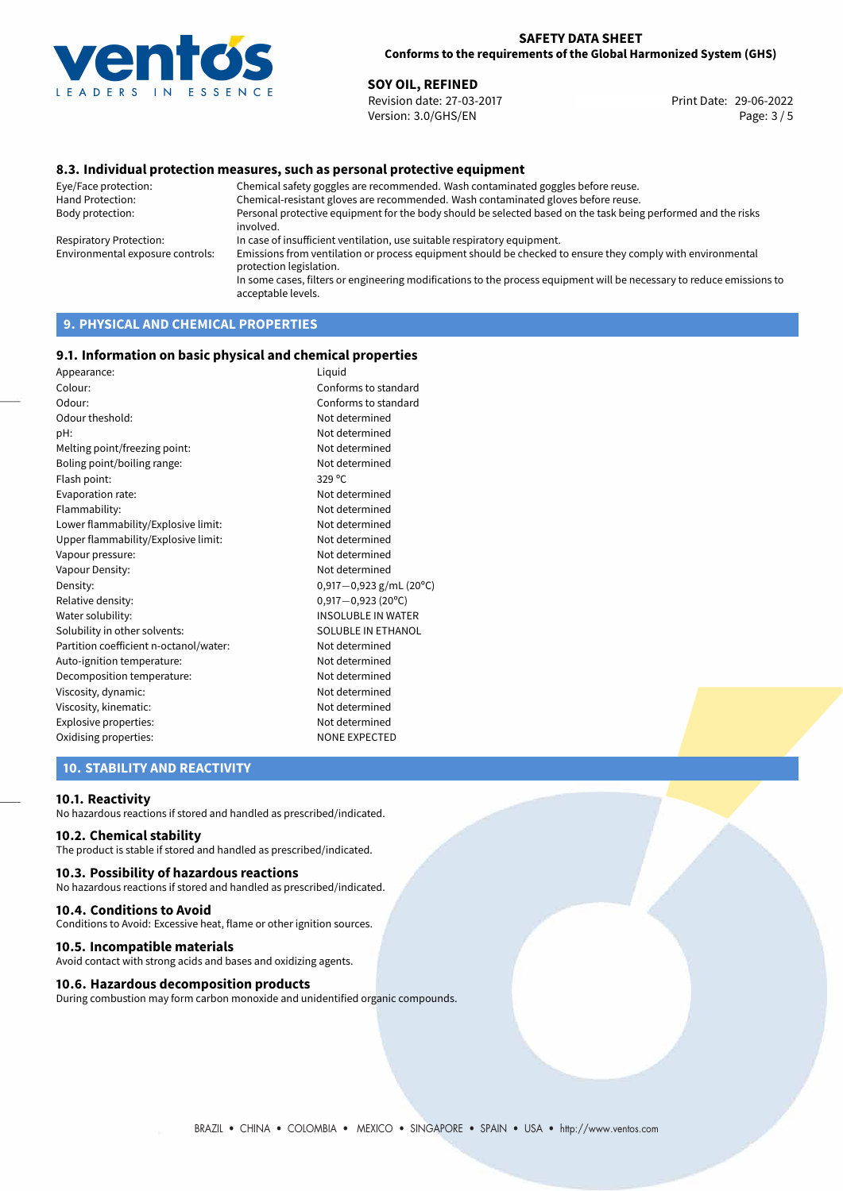

**29-2022 SOY OIL, REFINED**<br>
Revision date: 27-03-2017 **Print Date: 29-06-2022** Version: 3.0/GHS/EN Page: 3 / 5

## **8.3. Individual protection measures, such as personal protective equipment**

Eye/Face protection: Chemical safety goggles are recommended. Wash contaminated goggles before reuse. Chemical-resistant gloves are recommended. Wash contaminated gloves before reuse. Body protection: Personal protective equipment for the body should be selected based on the task being performed and the risks involved. Respiratory Protection: In case of insufficient ventilation, use suitable respiratory equipment. Environmental exposure controls: Emissions from ventilation or process equipment should be checked to ensure they comply with environmental protection legislation. In some cases, filters or engineering modifications to the process equipment will be necessary to reduce emissions to acceptable levels.

# **9. PHYSICAL AND CHEMICAL PROPERTIES**

### **9.1. Information on basic physical and chemical properties**

| Appearance:                            | Liquid                    |
|----------------------------------------|---------------------------|
| Colour:                                | Conforms to standard      |
| Odour:                                 | Conforms to standard      |
| Odour theshold:                        | Not determined            |
| pH:                                    | Not determined            |
| Melting point/freezing point:          | Not determined            |
| Boling point/boiling range:            | Not determined            |
| Flash point:                           | 329 °C                    |
| Evaporation rate:                      | Not determined            |
| Flammability:                          | Not determined            |
| Lower flammability/Explosive limit:    | Not determined            |
| Upper flammability/Explosive limit:    | Not determined            |
| Vapour pressure:                       | Not determined            |
| Vapour Density:                        | Not determined            |
| Density:                               | $0,917-0,923$ g/mL (20°C) |
| Relative density:                      | $0,917 - 0,923$ (20°C)    |
| Water solubility:                      | <b>INSOLUBLE IN WATER</b> |
| Solubility in other solvents:          | SOLUBLE IN ETHANOL        |
| Partition coefficient n-octanol/water: | Not determined            |
| Auto-ignition temperature:             | Not determined            |
| Decomposition temperature:             | Not determined            |
| Viscosity, dynamic:                    | Not determined            |
| Viscosity, kinematic:                  | Not determined            |
| Explosive properties:                  | Not determined            |
| Oxidising properties:                  | <b>NONE EXPECTED</b>      |
|                                        |                           |

## **10. STABILITY AND REACTIVITY**

### **10.1. Reactivity**

No hazardous reactions if stored and handled as prescribed/indicated.

## **10.2. Chemical stability**

The product is stable if stored and handled as prescribed/indicated.

## **10.3. Possibility of hazardous reactions**

No hazardous reactions if stored and handled as prescribed/indicated.

### **10.4. Conditions to Avoid**

Conditions to Avoid: Excessive heat, flame or other ignition sources.

### **10.5. Incompatible materials**

Avoid contact with strong acids and bases and oxidizing agents.

### **10.6. Hazardous decomposition products**

During combustion may form carbon monoxide and unidentified organic compounds.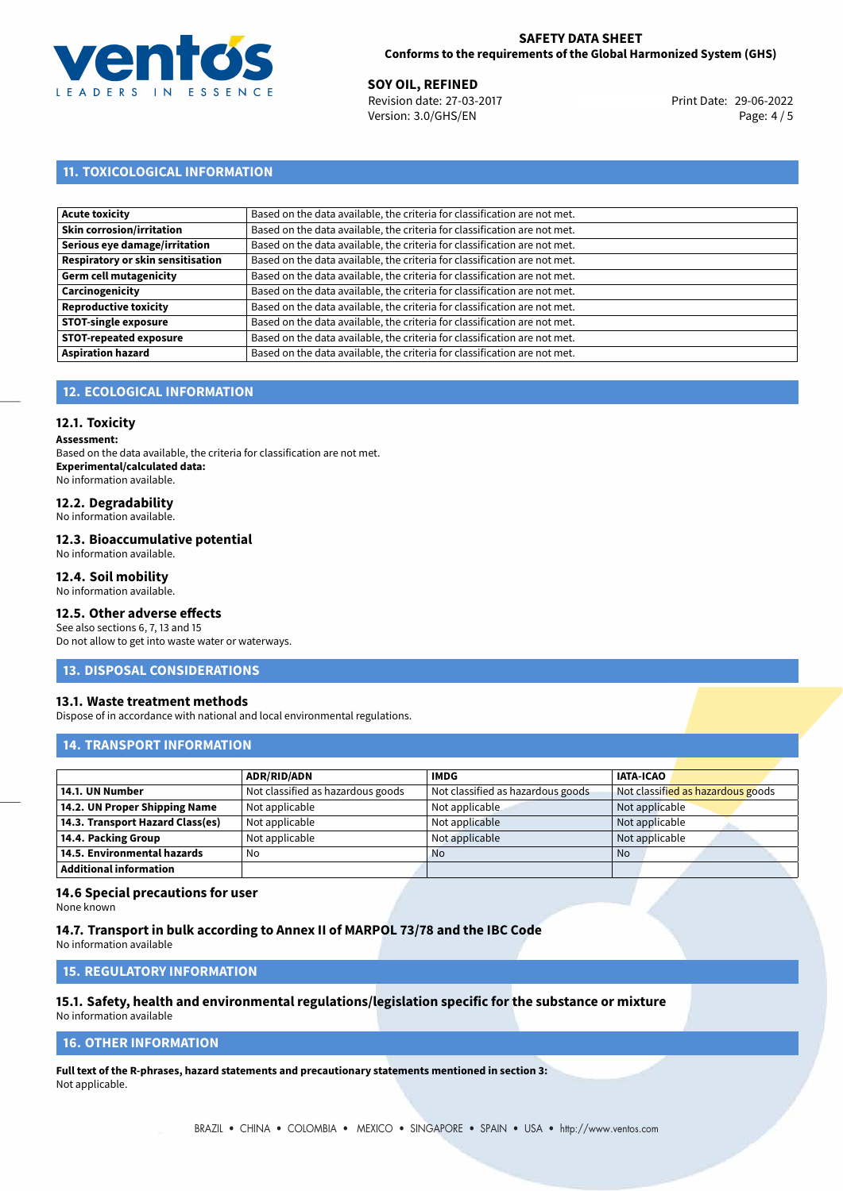

**29-2022 SOY OIL, REFINED**<br>
Revision date: 27-03-2017 **Print Date: 29-06-2022** Version: 3.0/GHS/EN Page: 4 / 5

# **11. TOXICOLOGICAL INFORMATION**

| Based on the data available, the criteria for classification are not met. |
|---------------------------------------------------------------------------|
| Based on the data available, the criteria for classification are not met. |
| Based on the data available, the criteria for classification are not met. |
| Based on the data available, the criteria for classification are not met. |
| Based on the data available, the criteria for classification are not met. |
| Based on the data available, the criteria for classification are not met. |
| Based on the data available, the criteria for classification are not met. |
| Based on the data available, the criteria for classification are not met. |
| Based on the data available, the criteria for classification are not met. |
| Based on the data available, the criteria for classification are not met. |
|                                                                           |

# **12. ECOLOGICAL INFORMATION**

## **12.1. Toxicity**

**Assessment:**

Based on the data available, the criteria for classification are not met. **Experimental/calculated data:** No information available.

# **12.2. Degradability**

No information available.

### **12.3. Bioaccumulative potential**

No information available.

## **12.4. Soil mobility**

No information available.

# **12.5. Other adverse effects**

See also sections 6, 7, 13 and 15 Do not allow to get into waste water or waterways.

## **13. DISPOSAL CONSIDERATIONS**

## **13.1. Waste treatment methods**

Dispose of in accordance with national and local environmental regulations.

## **14. TRANSPORT INFORMATION**

|                                  | <b>ADR/RID/ADN</b>                | <b>IMDG</b>                       | <b>IATA-ICAO</b>                  |
|----------------------------------|-----------------------------------|-----------------------------------|-----------------------------------|
| 14.1. UN Number                  | Not classified as hazardous goods | Not classified as hazardous goods | Not classified as hazardous goods |
| 14.2. UN Proper Shipping Name    | Not applicable                    | Not applicable                    | Not applicable                    |
| 14.3. Transport Hazard Class(es) | Not applicable                    | Not applicable                    | Not applicable                    |
| 14.4. Packing Group              | Not applicable                    | Not applicable                    | Not applicable                    |
| 14.5. Environmental hazards      | No                                | <b>No</b>                         | No                                |
| <b>Additional information</b>    |                                   |                                   |                                   |

## **14.6 Special precautions for user**

None known

### **14.7. Transport in bulk according to Annex II of MARPOL 73/78 and the IBC Code**

No information available

# **15. REGULATORY INFORMATION**

# **15.1. Safety, health and environmental regulations/legislation specific for the substance or mixture**

No information available

# **16. OTHER INFORMATION**

**Full text of the R-phrases, hazard statements and precautionary statements mentioned in section 3:** Not applicable.